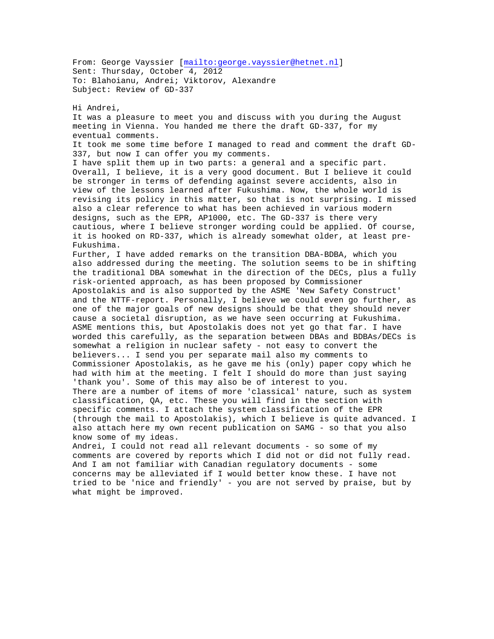From: George Vayssier [mailto:george.vayssier@hetnet.nl] Sent: Thursday, October 4, 2012 To: Blahoianu, Andrei; Viktorov, Alexandre Subject: Review of GD-337

Hi Andrei,

It was a pleasure to meet you and discuss with you during the August meeting in Vienna. You handed me there the draft GD-337, for my eventual comments.

It took me some time before I managed to read and comment the draft GD-337, but now I can offer you my comments.

I have split them up in two parts: a general and a specific part. Overall, I believe, it is a very good document. But I believe it could be stronger in terms of defending against severe accidents, also in view of the lessons learned after Fukushima. Now, the whole world is revising its policy in this matter, so that is not surprising. I missed also a clear reference to what has been achieved in various modern designs, such as the EPR, AP1000, etc. The GD-337 is there very cautious, where I believe stronger wording could be applied. Of course, it is hooked on RD-337, which is already somewhat older, at least pre-Fukushima.

Further, I have added remarks on the transition DBA-BDBA, which you also addressed during the meeting. The solution seems to be in shifting the traditional DBA somewhat in the direction of the DECs, plus a fully risk-oriented approach, as has been proposed by Commissioner Apostolakis and is also supported by the ASME 'New Safety Construct' and the NTTF-report. Personally, I believe we could even go further, as one of the major goals of new designs should be that they should never cause a societal disruption, as we have seen occurring at Fukushima. ASME mentions this, but Apostolakis does not yet go that far. I have worded this carefully, as the separation between DBAs and BDBAs/DECs is somewhat a religion in nuclear safety - not easy to convert the believers... I send you per separate mail also my comments to Commissioner Apostolakis, as he gave me his (only) paper copy which he had with him at the meeting. I felt I should do more than just saying 'thank you'. Some of this may also be of interest to you. There are a number of items of more 'classical' nature, such as system classification, QA, etc. These you will find in the section with specific comments. I attach the system classification of the EPR (through the mail to Apostolakis), which I believe is quite advanced. I also attach here my own recent publication on SAMG - so that you also know some of my ideas.

Andrei, I could not read all relevant documents - so some of my comments are covered by reports which I did not or did not fully read. And I am not familiar with Canadian regulatory documents - some concerns may be alleviated if I would better know these. I have not tried to be 'nice and friendly' - you are not served by praise, but by what might be improved.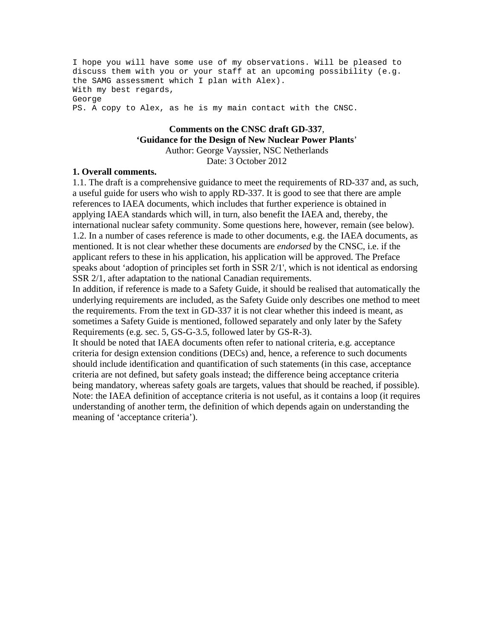I hope you will have some use of my observations. Will be pleased to discuss them with you or your staff at an upcoming possibility (e.g. the SAMG assessment which I plan with Alex). With my best regards, George PS. A copy to Alex, as he is my main contact with the CNSC.

## **Comments on the CNSC draft GD-337**, **'Guidance for the Design of New Nuclear Power Plants**' Author: George Vayssier, NSC Netherlands

Date: 3 October 2012

## **1. Overall comments.**

1.1. The draft is a comprehensive guidance to meet the requirements of RD-337 and, as such, a useful guide for users who wish to apply RD-337. It is good to see that there are ample references to IAEA documents, which includes that further experience is obtained in applying IAEA standards which will, in turn, also benefit the IAEA and, thereby, the international nuclear safety community. Some questions here, however, remain (see below). 1.2. In a number of cases reference is made to other documents, e.g. the IAEA documents, as mentioned. It is not clear whether these documents are *endorsed* by the CNSC, i.e. if the applicant refers to these in his application, his application will be approved. The Preface speaks about 'adoption of principles set forth in SSR 2/1', which is not identical as endorsing SSR 2/1, after adaptation to the national Canadian requirements.

In addition, if reference is made to a Safety Guide, it should be realised that automatically the underlying requirements are included, as the Safety Guide only describes one method to meet the requirements. From the text in GD-337 it is not clear whether this indeed is meant, as sometimes a Safety Guide is mentioned, followed separately and only later by the Safety Requirements (e.g. sec. 5, GS-G-3.5, followed later by GS-R-3).

It should be noted that IAEA documents often refer to national criteria, e.g. acceptance criteria for design extension conditions (DECs) and, hence, a reference to such documents should include identification and quantification of such statements (in this case, acceptance criteria are not defined, but safety goals instead; the difference being acceptance criteria being mandatory, whereas safety goals are targets, values that should be reached, if possible). Note: the IAEA definition of acceptance criteria is not useful, as it contains a loop (it requires understanding of another term, the definition of which depends again on understanding the meaning of 'acceptance criteria').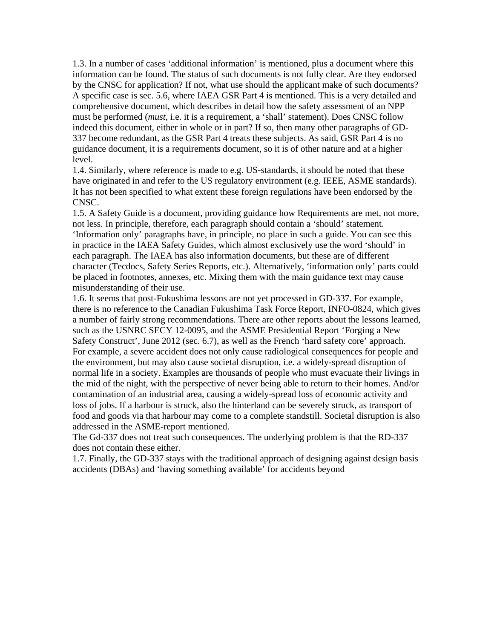1.3. In a number of cases 'additional information' is mentioned, plus a document where this information can be found. The status of such documents is not fully clear. Are they endorsed by the CNSC for application? If not, what use should the applicant make of such documents? A specific case is sec. 5.6, where IAEA GSR Part 4 is mentioned. This is a very detailed and comprehensive document, which describes in detail how the safety assessment of an NPP must be performed (*must*, i.e. it is a requirement, a 'shall' statement). Does CNSC follow indeed this document, either in whole or in part? If so, then many other paragraphs of GD-337 become redundant, as the GSR Part 4 treats these subjects. As said, GSR Part 4 is no guidance document, it is a requirements document, so it is of other nature and at a higher level.

1.4. Similarly, where reference is made to e.g. US-standards, it should be noted that these have originated in and refer to the US regulatory environment (e.g. IEEE, ASME standards). It has not been specified to what extent these foreign regulations have been endorsed by the CNSC.

1.5. A Safety Guide is a document, providing guidance how Requirements are met, not more, not less. In principle, therefore, each paragraph should contain a 'should' statement. 'Information only' paragraphs have, in principle, no place in such a guide. You can see this in practice in the IAEA Safety Guides, which almost exclusively use the word 'should' in each paragraph. The IAEA has also information documents, but these are of different character (Tecdocs, Safety Series Reports, etc.). Alternatively, 'information only' parts could be placed in footnotes, annexes, etc. Mixing them with the main guidance text may cause misunderstanding of their use.

1.6. It seems that post-Fukushima lessons are not yet processed in GD-337. For example, there is no reference to the Canadian Fukushima Task Force Report, INFO-0824, which gives a number of fairly strong recommendations. There are other reports about the lessons learned, such as the USNRC SECY 12-0095, and the ASME Presidential Report 'Forging a New Safety Construct', June 2012 (sec. 6.7), as well as the French 'hard safety core' approach. For example, a severe accident does not only cause radiological consequences for people and the environment, but may also cause societal disruption, i.e. a widely-spread disruption of normal life in a society. Examples are thousands of people who must evacuate their livings in the mid of the night, with the perspective of never being able to return to their homes. And/or contamination of an industrial area, causing a widely-spread loss of economic activity and loss of jobs. If a harbour is struck, also the hinterland can be severely struck, as transport of food and goods via that harbour may come to a complete standstill. Societal disruption is also addressed in the ASME-report mentioned.

The Gd-337 does not treat such consequences. The underlying problem is that the RD-337 does not contain these either.

1.7. Finally, the GD-337 stays with the traditional approach of designing against design basis accidents (DBAs) and 'having something available' for accidents beyond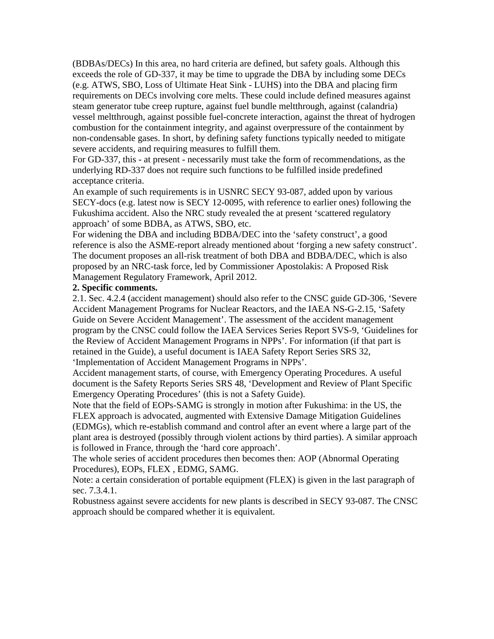(BDBAs/DECs) In this area, no hard criteria are defined, but safety goals. Although this exceeds the role of GD-337, it may be time to upgrade the DBA by including some DECs (e.g. ATWS, SBO, Loss of Ultimate Heat Sink - LUHS) into the DBA and placing firm requirements on DECs involving core melts. These could include defined measures against steam generator tube creep rupture, against fuel bundle meltthrough, against (calandria) vessel meltthrough, against possible fuel-concrete interaction, against the threat of hydrogen combustion for the containment integrity, and against overpressure of the containment by non-condensable gases. In short, by defining safety functions typically needed to mitigate severe accidents, and requiring measures to fulfill them.

For GD-337, this - at present - necessarily must take the form of recommendations, as the underlying RD-337 does not require such functions to be fulfilled inside predefined acceptance criteria.

An example of such requirements is in USNRC SECY 93-087, added upon by various SECY-docs (e.g. latest now is SECY 12-0095, with reference to earlier ones) following the Fukushima accident. Also the NRC study revealed the at present 'scattered regulatory approach' of some BDBA, as ATWS, SBO, etc.

For widening the DBA and including BDBA/DEC into the 'safety construct', a good reference is also the ASME-report already mentioned about 'forging a new safety construct'. The document proposes an all-risk treatment of both DBA and BDBA/DEC, which is also proposed by an NRC-task force, led by Commissioner Apostolakis: A Proposed Risk Management Regulatory Framework, April 2012.

## **2. Specific comments.**

2.1. Sec. 4.2.4 (accident management) should also refer to the CNSC guide GD-306, 'Severe Accident Management Programs for Nuclear Reactors, and the IAEA NS-G-2.15, 'Safety Guide on Severe Accident Management'. The assessment of the accident management program by the CNSC could follow the IAEA Services Series Report SVS-9, 'Guidelines for the Review of Accident Management Programs in NPPs'. For information (if that part is retained in the Guide), a useful document is IAEA Safety Report Series SRS 32,

'Implementation of Accident Management Programs in NPPs'.

Accident management starts, of course, with Emergency Operating Procedures. A useful document is the Safety Reports Series SRS 48, 'Development and Review of Plant Specific Emergency Operating Procedures' (this is not a Safety Guide).

Note that the field of EOPs-SAMG is strongly in motion after Fukushima: in the US, the FLEX approach is advocated, augmented with Extensive Damage Mitigation Guidelines (EDMGs), which re-establish command and control after an event where a large part of the plant area is destroyed (possibly through violent actions by third parties). A similar approach is followed in France, through the 'hard core approach'.

The whole series of accident procedures then becomes then: AOP (Abnormal Operating Procedures), EOPs, FLEX , EDMG, SAMG.

Note: a certain consideration of portable equipment (FLEX) is given in the last paragraph of sec. 7.3.4.1.

Robustness against severe accidents for new plants is described in SECY 93-087. The CNSC approach should be compared whether it is equivalent.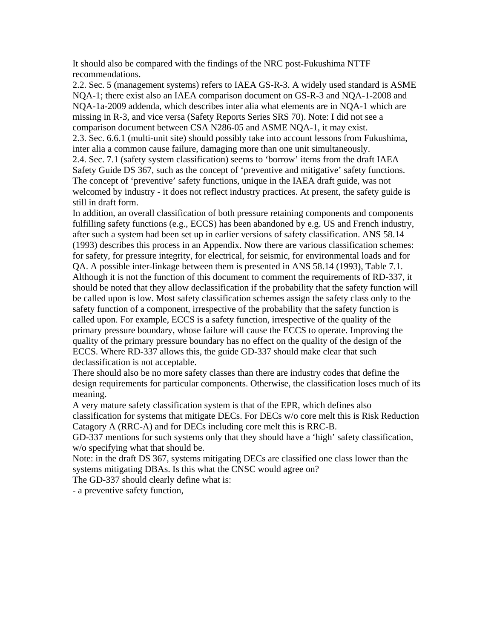It should also be compared with the findings of the NRC post-Fukushima NTTF recommendations.

2.2. Sec. 5 (management systems) refers to IAEA GS-R-3. A widely used standard is ASME NQA-1; there exist also an IAEA comparison document on GS-R-3 and NQA-1-2008 and NQA-1a-2009 addenda, which describes inter alia what elements are in NQA-1 which are missing in R-3, and vice versa (Safety Reports Series SRS 70). Note: I did not see a comparison document between CSA N286-05 and ASME NQA-1, it may exist. 2.3. Sec. 6.6.1 (multi-unit site) should possibly take into account lessons from Fukushima, inter alia a common cause failure, damaging more than one unit simultaneously. 2.4. Sec. 7.1 (safety system classification) seems to 'borrow' items from the draft IAEA Safety Guide DS 367, such as the concept of 'preventive and mitigative' safety functions. The concept of 'preventive' safety functions, unique in the IAEA draft guide, was not welcomed by industry - it does not reflect industry practices. At present, the safety guide is still in draft form.

In addition, an overall classification of both pressure retaining components and components fulfilling safety functions (e.g., ECCS) has been abandoned by e.g. US and French industry, after such a system had been set up in earlier versions of safety classification. ANS 58.14 (1993) describes this process in an Appendix. Now there are various classification schemes: for safety, for pressure integrity, for electrical, for seismic, for environmental loads and for QA. A possible inter-linkage between them is presented in ANS 58.14 (1993), Table 7.1. Although it is not the function of this document to comment the requirements of RD-337, it should be noted that they allow declassification if the probability that the safety function will be called upon is low. Most safety classification schemes assign the safety class only to the safety function of a component, irrespective of the probability that the safety function is called upon. For example, ECCS is a safety function, irrespective of the quality of the primary pressure boundary, whose failure will cause the ECCS to operate. Improving the quality of the primary pressure boundary has no effect on the quality of the design of the ECCS. Where RD-337 allows this, the guide GD-337 should make clear that such declassification is not acceptable.

There should also be no more safety classes than there are industry codes that define the design requirements for particular components. Otherwise, the classification loses much of its meaning.

A very mature safety classification system is that of the EPR, which defines also classification for systems that mitigate DECs. For DECs w/o core melt this is Risk Reduction Catagory A (RRC-A) and for DECs including core melt this is RRC-B.

GD-337 mentions for such systems only that they should have a 'high' safety classification, w/o specifying what that should be.

Note: in the draft DS 367, systems mitigating DECs are classified one class lower than the systems mitigating DBAs. Is this what the CNSC would agree on?

The GD-337 should clearly define what is:

- a preventive safety function,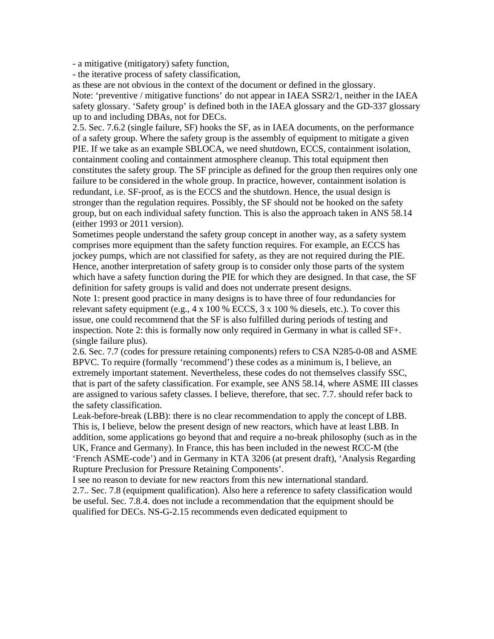- a mitigative (mitigatory) safety function,

- the iterative process of safety classification,

as these are not obvious in the context of the document or defined in the glossary.

Note: 'preventive / mitigative functions' do not appear in IAEA SSR2/1, neither in the IAEA safety glossary. 'Safety group' is defined both in the IAEA glossary and the GD-337 glossary up to and including DBAs, not for DECs.

2.5. Sec. 7.6.2 (single failure, SF) hooks the SF, as in IAEA documents, on the performance of a safety group. Where the safety group is the assembly of equipment to mitigate a given PIE. If we take as an example SBLOCA, we need shutdown, ECCS, containment isolation, containment cooling and containment atmosphere cleanup. This total equipment then constitutes the safety group. The SF principle as defined for the group then requires only one failure to be considered in the whole group. In practice, however, containment isolation is redundant, i.e. SF-proof, as is the ECCS and the shutdown. Hence, the usual design is stronger than the regulation requires. Possibly, the SF should not be hooked on the safety group, but on each individual safety function. This is also the approach taken in ANS 58.14 (either 1993 or 2011 version).

Sometimes people understand the safety group concept in another way, as a safety system comprises more equipment than the safety function requires. For example, an ECCS has jockey pumps, which are not classified for safety, as they are not required during the PIE. Hence, another interpretation of safety group is to consider only those parts of the system which have a safety function during the PIE for which they are designed. In that case, the SF definition for safety groups is valid and does not underrate present designs.

Note 1: present good practice in many designs is to have three of four redundancies for relevant safety equipment (e.g.,  $4 \times 100\%$  ECCS,  $3 \times 100\%$  diesels, etc.). To cover this issue, one could recommend that the SF is also fulfilled during periods of testing and inspection. Note 2: this is formally now only required in Germany in what is called SF+. (single failure plus).

2.6. Sec. 7.7 (codes for pressure retaining components) refers to CSA N285-0-08 and ASME BPVC. To require (formally 'recommend') these codes as a minimum is, I believe, an extremely important statement. Nevertheless, these codes do not themselves classify SSC, that is part of the safety classification. For example, see ANS 58.14, where ASME III classes are assigned to various safety classes. I believe, therefore, that sec. 7.7. should refer back to the safety classification.

Leak-before-break (LBB): there is no clear recommendation to apply the concept of LBB. This is, I believe, below the present design of new reactors, which have at least LBB. In addition, some applications go beyond that and require a no-break philosophy (such as in the UK, France and Germany). In France, this has been included in the newest RCC-M (the 'French ASME-code') and in Germany in KTA 3206 (at present draft), 'Analysis Regarding Rupture Preclusion for Pressure Retaining Components'.

I see no reason to deviate for new reactors from this new international standard. 2.7.. Sec. 7.8 (equipment qualification). Also here a reference to safety classification would be useful. Sec. 7.8.4. does not include a recommendation that the equipment should be qualified for DECs. NS-G-2.15 recommends even dedicated equipment to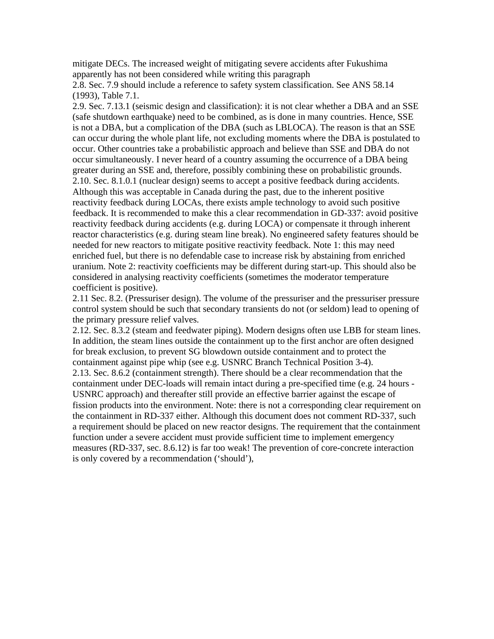mitigate DECs. The increased weight of mitigating severe accidents after Fukushima apparently has not been considered while writing this paragraph

2.8. Sec. 7.9 should include a reference to safety system classification. See ANS 58.14 (1993), Table 7.1.

2.9. Sec. 7.13.1 (seismic design and classification): it is not clear whether a DBA and an SSE (safe shutdown earthquake) need to be combined, as is done in many countries. Hence, SSE is not a DBA, but a complication of the DBA (such as LBLOCA). The reason is that an SSE can occur during the whole plant life, not excluding moments where the DBA is postulated to occur. Other countries take a probabilistic approach and believe than SSE and DBA do not occur simultaneously. I never heard of a country assuming the occurrence of a DBA being greater during an SSE and, therefore, possibly combining these on probabilistic grounds. 2.10. Sec. 8.1.0.1 (nuclear design) seems to accept a positive feedback during accidents. Although this was acceptable in Canada during the past, due to the inherent positive reactivity feedback during LOCAs, there exists ample technology to avoid such positive feedback. It is recommended to make this a clear recommendation in GD-337: avoid positive reactivity feedback during accidents (e.g. during LOCA) or compensate it through inherent reactor characteristics (e.g. during steam line break). No engineered safety features should be needed for new reactors to mitigate positive reactivity feedback. Note 1: this may need enriched fuel, but there is no defendable case to increase risk by abstaining from enriched uranium. Note 2: reactivity coefficients may be different during start-up. This should also be considered in analysing reactivity coefficients (sometimes the moderator temperature coefficient is positive).

2.11 Sec. 8.2. (Pressuriser design). The volume of the pressuriser and the pressuriser pressure control system should be such that secondary transients do not (or seldom) lead to opening of the primary pressure relief valves.

2.12. Sec. 8.3.2 (steam and feedwater piping). Modern designs often use LBB for steam lines. In addition, the steam lines outside the containment up to the first anchor are often designed for break exclusion, to prevent SG blowdown outside containment and to protect the containment against pipe whip (see e.g. USNRC Branch Technical Position 3-4). 2.13. Sec. 8.6.2 (containment strength). There should be a clear recommendation that the containment under DEC-loads will remain intact during a pre-specified time (e.g. 24 hours - USNRC approach) and thereafter still provide an effective barrier against the escape of fission products into the environment. Note: there is not a corresponding clear requirement on the containment in RD-337 either. Although this document does not comment RD-337, such a requirement should be placed on new reactor designs. The requirement that the containment function under a severe accident must provide sufficient time to implement emergency measures (RD-337, sec. 8.6.12) is far too weak! The prevention of core-concrete interaction is only covered by a recommendation ('should'),